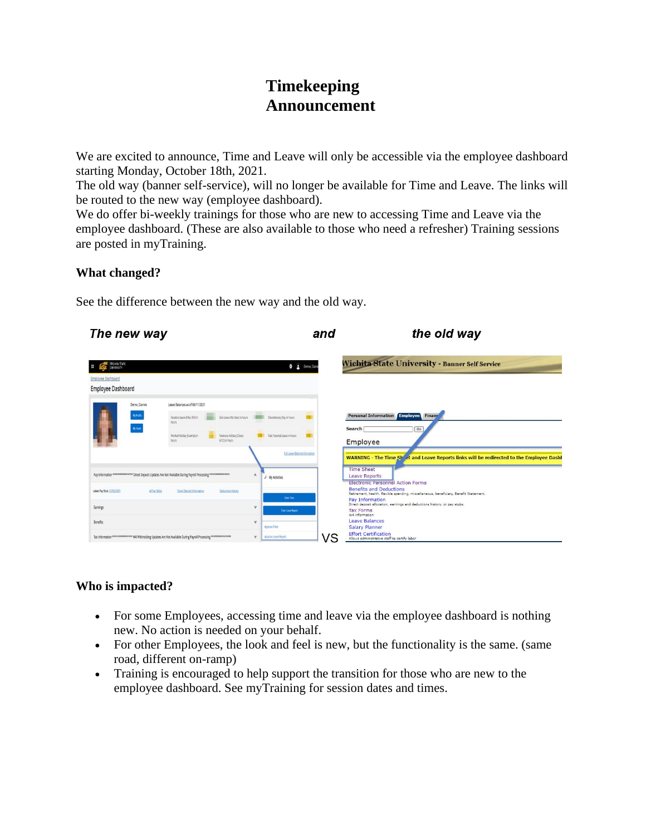# **Timekeeping Announcement**

We are excited to announce, Time and Leave will only be accessible via the employee dashboard starting Monday, October 18th, 2021.

The old way (banner self-service), will no longer be available for Time and Leave. The links will be routed to the new way (employee dashboard).

We do offer bi-weekly trainings for those who are new to accessing Time and Leave via the employee dashboard. (These are also available to those who need a refresher) Training sessions are posted in myTraining.

## **What changed?**

See the difference between the new way and the old way.



### **Who is impacted?**

- For some Employees, accessing time and leave via the employee dashboard is nothing new. No action is needed on your behalf.
- For other Employees, the look and feel is new, but the functionality is the same. (same road, different on-ramp)
- Training is encouraged to help support the transition for those who are new to the employee dashboard. See myTraining for session dates and times.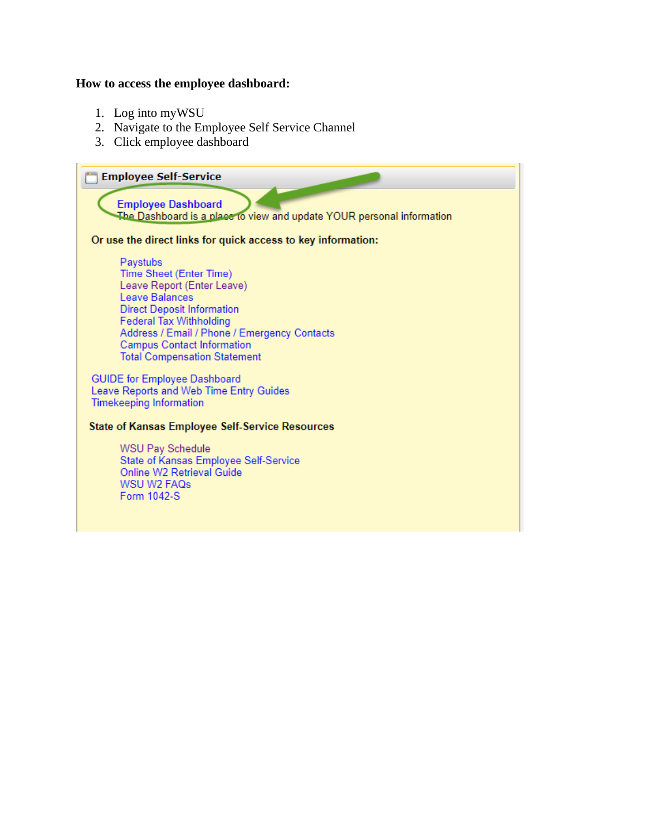#### **How to access the employee dashboard:**

- 1. Log into myWSU
- 2. Navigate to the Employee Self Service Channel
- 3. Click employee dashboard